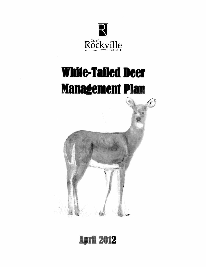

# **White-Tailed Deer Management Plan**



# **April 2012**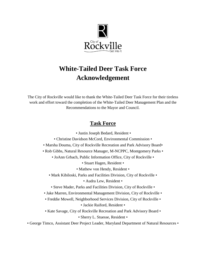

# **White-Tailed Deer Task Force Acknowledgement**

The City of Rockville would like to thank the White-Tailed Deer Task Force for their tireless work and effort toward the completion of the White-Tailed Deer Management Plan and the Recommendations to the Mayor and Council.

## **Task Force**

• Justin Joseph Bedard, Resident •

- Christine Davidson McCord, Environmental Commission •
- Marsha Douma, City of Rockville Recreation and Park Advisory Board•

• Rob Gibbs, Natural Resource Manager, M-NCPPC, Montgomery Parks •

• JoAnn Grbach, Public Information Office, City of Rockville •

• Stuart Hagen, Resident •

• Mathew von Hendy, Resident •

• Mark Kibiloski, Parks and Facilities Division, City of Rockville •

• Audra Lew, Resident •

• Steve Mader, Parks and Facilities Division, City of Rockville •

- Jake Marren, Environmental Management Division, City of Rockville •
- Freddie Mowell, Neighborhood Services Division, City of Rockville •

• Jackie Raiford, Resident •

• Kate Savage, City of Rockville Recreation and Park Advisory Board •

• Sherry L. Stuesse, Resident •

• George Timco, Assistant Deer Project Leader, Maryland Department of Natural Resources •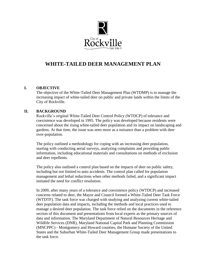

### **WHITE-TAILED DEER MANAGEMENT PLAN**

#### **I. OBJECTIVE**

The objective of the White-Tailed Deer Management Plan (WTDMP) is to manage the increasing impact of white-tailed deer on public and private lands within the limits of the City of Rockville.

#### **II. BACKGROUND**

Rockville's original White-Tailed Deer Control Policy (WTDCP) of tolerance and coexistence was developed in 1995. The policy was developed because residents were concerned about the rising white-tailed deer population and its impact on landscaping and gardens. At that time, the issue was seen more as a nuisance than a problem with deer over-population.

The policy outlined a methodology for coping with an increasing deer population, starting with conducting aerial surveys, analyzing complaints and providing public information, including educational materials and consultations on methods of exclusion and deer repellents.

The policy also outlined a control plan based on the impacts of deer on public safety, including but not limited to auto accidents. The control plan called for population management and lethal reductions when other methods failed, and a significant impact initiated the need for conflict resolution.

In 2009, after many years of a tolerance and coexistence policy (WTDCP) and increased concerns related to deer, the Mayor and Council formed a White-Tailed Deer Task Force (WTDTF). The task force was charged with studying and analyzing current white-tailed deer population data and impacts, including the methods and local practices used to manage a desired deer population. The task force relied on the documents in the reference section of this document and presentations from local experts as the primary sources of data and information. The Maryland Department of Natural Resources Heritage and Wildlife Services (DNR), Maryland National Capital Park and Planning Commission (MNCPPC) - Montgomery and Howard counties, the Humane Society of the United States and the Suburban White-Tailed Deer Management Group made presentations to the task force.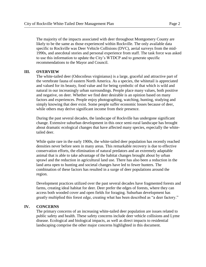specific to Rockville was Deer Vehicle Collisions (DVC), aerial surveys from the mid-1990s, and anecdotal stories and personal experience from staff. The task force was asked to use this information to update the City's WTDCP and to generate specific recommendations to the Mayor and Council.

#### **III. OVERVIEW**

The white-tailed deer (Odocoileus virginianus) is a large, graceful and attractive part of the vertebrate fauna of eastern North America. As a species, the whitetail is appreciated and valued for its beauty, food value and for being symbolic of that which is wild and natural in our increasingly urban surroundings. People place many values, both positive and negative, on deer. Whether we find deer desirable is an opinion based on many factors and experiences. People enjoy photographing, watching, hunting, studying and simply knowing that deer exist. Some people suffer economic losses because of deer, while others may derive significant income from their presence.

During the past several decades, the landscape of Rockville has undergone significant change. Extensive suburban development in this once semi-rural landscape has brought about dramatic ecological changes that have affected many species, especially the whitetailed deer.

While quite rare in the early 1900s, the white-tailed deer population has recently reached densities never before seen in many areas. This remarkable recovery is due to effective conservation efforts, the elimination of natural predators and an extremely adaptable animal that is able to take advantage of the habitat changes brought about by urban sprawl and the reduction in agricultural land use. There has also been a reduction in the land area open to hunting and societal changes have led to fewer hunters. The combination of these factors has resulted in a surge of deer populations around the region.

Development practices utilized over the past several decades have fragmented forests and farms, creating ideal habitat for deer. Deer prefer the edges of forests, where they can access both wooded cover and open fields for foraging. Suburban development has greatly multiplied this forest edge, creating what has been described as "a deer factory."

#### **IV. CONCERNS**

The primary concerns of an increasing white-tailed deer population are issues related to public safety and health. These safety concerns include deer vehicle collisions and Lyme disease. Ecological and biological impacts, as well as direct impacts to residential landscaping comprise the other major concerns highlighted in this document.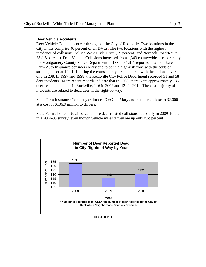#### **Deer Vehicle Accidents**

Deer Vehicle Collisions occur throughout the City of Rockville. Two locations in the City limits comprise 40 percent of all DVCs. The two locations with the highest incidence of collisions include West Gude Drive (19 percent) and Norbeck Road/Route 28 (18 percent). Deer Vehicle Collisions increased from 1,343 countywide as reported by the Montgomery County Police Department in 1994 to 1,841 reported in 2008. State Farm Auto Insurance considers Maryland to be in a high-risk zone with the odds of striking a deer at 1 in 141 during the course of a year, compared with the national average of 1 in 208. In 1997 and 1998, the Rockville City Police Department recorded 51 and 58 deer incidents. More recent records indicate that in 2008, there were approximately 133 deer-related incidents in Rockville, 116 in 2009 and 121 in 2010. The vast majority of the incidents are related to dead deer in the right-of-way.

State Farm Insurance Company estimates DVCs in Maryland numbered close to 32,000 at a cost of \$106.9 million to drivers.

State Farm also reports 21 percent more deer-related collisions nationally in 2009-10 than in a 2004-05 survey, even though vehicle miles driven are up only two percent.



**FIGURE 1**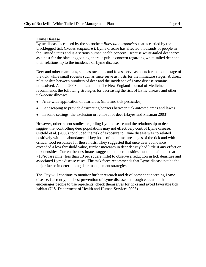#### **Lyme Disease**

Lyme disease is caused by the spirochete *Borrelia burgdorferi* that is carried by the blacklegged tick (*Ixodes scapularis*). Lyme disease has affected thousands of people in the United States and is a serious human health concern. Because white-tailed deer serve as a host for the blacklegged tick, there is public concern regarding white-tailed deer and their relationship to the incidence of Lyme disease.

Deer and other mammals, such as raccoons and foxes, serve as hosts for the adult stage of the tick, while small rodents such as mice serve as hosts for the immature stages. A direct relationship between numbers of deer and the incidence of Lyme disease remains unresolved. A June 2003 publication in The New England Journal of Medicine recommends the following strategies for decreasing the risk of Lyme disease and other tick-borne illnesses:

- $\bullet$ Area-wide application of acaricides (mite and tick pesticides).
- Landscaping to provide desiccating barriers between tick-infested areas and lawns.  $\bullet$
- $\bullet$ In some settings, the exclusion or removal of deer (Hayes and Piesman 2003).

However, other recent studies regarding Lyme disease and the relationship to deer suggest that controlling deer populations may not effectively control Lyme disease. Ostfeld et al. (2006) concluded the risk of exposure to Lyme disease was correlated positively with the abundance of key hosts of the immature stages of the tick and with critical food resources for those hosts. They suggested that once deer abundance exceeded a low threshold value, further increases in deer density had little if any effect on tick densities. Current best estimates suggest that deer densities must be maintained at <10/square mile (less than 10 per square mile) to observe a reduction in tick densities and associated Lyme disease cases. The task force recommends that Lyme disease not be the major factor in determining deer management strategies.

The City will continue to monitor further research and development concerning Lyme disease. Currently, the best prevention of Lyme disease is through education that encourages people to use repellents, check themselves for ticks and avoid favorable tick habitat (U.S. Department of Health and Human Services 2005).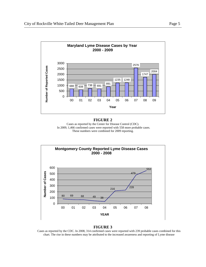

#### **FIGURE 2**

Cases as reported by the Center for Disease Control (CDC). In 2009, 1,466 confirmed cases were reported with 558 more probable cases. These numbers were combined for 2009 reporting.



#### **FIGURE 3**

Cases as reported by the CDC. In 2008, 314 confirmed cases were reported with 239 probable cases combined for this chart. The rise in these numbers may be attributed to the increased awareness and reporting of Lyme disease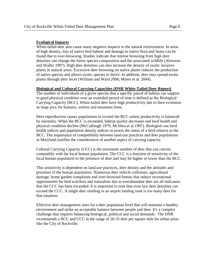#### **Ecological Impacts**

White-tailed deer also cause many negative impacts to the natural environment. In areas of high density, loss of native bird habitat and damage to native flora and fauna can be found due to over-browsing. Studies indicate that intense browsing from high deer densities can change the forest species composition and the associated wildlife (Alverson and Waller 1997). High deer densities can also increase the density of exotic invasive plants in natural areas. Excessive deer browsing on native plants reduces the production of native species and allows exotic species to thrive. In addition, deer may spread exotic plants through their feces (William and Ward 2006; Myers et al. 2004).

#### **Biological and Cultural Carrying Capacities (DNR White-Tailed Deer Report)**

The number of individuals of a given species that a specific parcel of habitat can support in good physical condition over an extended period of time is defined as the Biological Carrying Capacity (BCC). White-tailed deer have high productivity due to their evolution as large prey for humans, wolves and mountain lions.

Deer reproduction causes populations to exceed the BCC unless productivity is balanced by mortality. When the BCC is exceeded, habitat quality decreases and herd health and physical condition decline (McCullough 1979, McShea et al.1997). Biologists use herd health indices and population density indices to assess the status of a herd relative to the BCC. The importance of compatibility between land-use practices and deer populations in Maryland justifies the consideration of another aspect of carrying capacity.

Cultural Carrying Capacity (CCC) is the maximum number of deer that can coexist compatibly with the local human population. The CCC is a function of sensitivity of the local human population to the presence of deer and may be higher or lower than the BCC.

This sensitivity is dependent on land-use practices, deer density and the attitudes and priorities of the human population. Numerous deer vehicle collisions, agricultural damage, home garden complaints and over-browsed forests that reduce recreational opportunities for bird watchers and naturalists due to overabundant deer are all indicators that the CCC has been exceeded. It is important to note that even low deer densities can exceed the CCC. A single deer residing in an airport landing zone is too many deer for that situation.

Effective deer management aims for a deer population level that will maintain a healthy environment and strike an acceptable balance between people and deer. It's a complex challenge that requires balancing biological, political and social demands. The DNR recommends a BCC and CCC in the range of 20-35 deer per square mile for urban areas like the City of Rockville.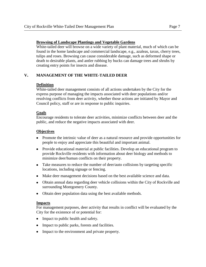**Browsing of Landscape Plantings and Vegetable Gardens** White-tailed deer will browse on a wide variety of plant material, much of which can be found in the home landscape and commercial landscape, e.g., azaleas, taxus, cherry trees, tulips and roses. Browsing can cause considerable damage, such as deformed shape or death to desirable plants, and antler rubbing by bucks can damage trees and shrubs by creating entry points for insects and disease.

#### **V. MANAGEMENT OF THE WHITE-TAILED DEER**

#### **Definition**

White-tailed deer management consists of all actions undertaken by the City for the express purpose of managing the impacts associated with deer populations and/or resolving conflicts from deer activity, whether those actions are initiated by Mayor and Council policy, staff or are in response to public inquiries.

#### **Goals**

Encourage residents to tolerate deer activities, minimize conflicts between deer and the public, and reduce the negative impacts associated with deer.

#### **Objectives**

- Promote the intrinsic value of deer as a natural resource and provide opportunities for people to enjoy and appreciate this beautiful and important animal.
- Provide educational material at public facilities. Develop an educational program to provide Rockville residents with information about deer biology and methods to minimize deer/human conflicts on their property.
- Take measures to reduce the number of deer/auto collisions by targeting specific locations, including signage or fencing.
- Make deer management decisions based on the best available science and data.
- Obtain annual data regarding deer vehicle collisions within the City of Rockville and surrounding Montgomery County.
- Obtain deer population data using the best available methods.

#### **Impacts**

For management purposes, deer activity that results in conflict will be evaluated by the City for the existence of or potential for:

- Impact to public health and safety.
- Impact to public parks, forests and facilities.  $\bullet$
- Impact to the environment and private property.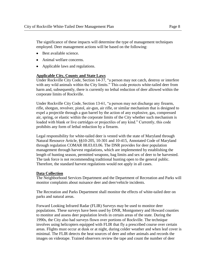The significance of these impacts will determine the type of management techniques employed. Deer management actions will be based on the following:

- Best available science.
- Animal welfare concerns.
- $\bullet$ Applicable laws and regulations.

#### **Applicable City, County and State Laws**

Under Rockville City Code, Section 14-37, "a person may not catch, destroy or interfere with any wild animals within the City limits." This code protects white-tailed deer from harm and, subsequently, there is currently no lethal reduction of deer allowed within the corporate limits of Rockville.

Under Rockville City Code, Section 13-61, "a person may not discharge any firearm, rifle, shotgun, revolver, pistol, air-gun, air rifle, or similar mechanism that is designed to expel a projectile through a gun barrel by the action of any explosive, gas, compressed air, spring, or elastic within the corporate limits of the City whether such mechanism is loaded with blank or live cartridges or projectiles of any kind." Currently, this code prohibits any form of lethal reduction by a firearm.

Legal responsibility for white-tailed deer is vested with the state of Maryland through Natural Resource Article, §§10-205, 10-301 and 10-415, Annotated Code of Maryland through regulation COMAR 08.03.03.06. The DNR provides for deer population management through harvest regulations, which are implemented by establishing the length of hunting season, permitted weapons, bag limits and sex of deer to be harvested. The task force is not recommending traditional hunting open to the general public. Therefore, the standard harvest regulations would not apply in all cases.

#### **Data Collection**

The Neighborhood Services Department and the Department of Recreation and Parks will monitor complaints about nuisance deer and deer/vehicle incidents.

The Recreation and Parks Department shall monitor the effects of white-tailed deer on parks and natural areas.

Forward Looking Infrared Radar (FLIR) Surveys may be used to monitor deer populations. These surveys have been used by DNR, Montgomery and Howard counties to monitor and assess deer population levels in certain areas of the state. During the 1990s, the City also had surveys flown over portions of Rockville. The technique involves using helicopters equipped with FLIR that fly a prescribed course over certain areas. Flights must occur at dusk or at night, during colder weather and when leaf cover is minimal. The FLIR detects the heat sources of deer and other animals and records the images on videotape. Trained observers review the tape and count the number of deer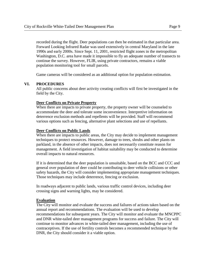recorded during the flight. Deer populations can then be estimated in that particular area. Forward Looking Infrared Radar was used extensively in central Maryland in the late 1990s and early 2000s. Since Sept. 11, 2001, restricted flight zones in the metropolitan Washington, D.C. area have made it impossible to fly an adequate number of transects to continue the survey. However, FLIR, using private contractors, remains a viable population monitoring tool for small parcels.

Game cameras will be considered as an additional option for population estimation.

#### **VI. PROCEDURES**

All public concerns about deer activity creating conflicts will first be investigated in the field by the City.

#### **Deer Conflicts on Private Property**

When there are impacts to private property, the property owner will be counseled to accommodate the deer and tolerate some inconvenience. Interpretive information on deterrence exclusion methods and repellents will be provided. Staff will recommend various options such as fencing, alternative plant selections and use of repellants.

#### **Deer Conflicts on Public Lands**

When there are impacts to public areas, the City may decide to implement management techniques to protect resources. However, damage to trees, shrubs and other plants on parkland, in the absence of other impacts, does not necessarily constitute reason for management. A field investigation of habitat suitability may be conducted to determine overall impacts to natural resources.

If it is determined that the deer population is unsuitable, based on the BCC and CCC and general over population of deer could be contributing to deer vehicle collisions or other safety hazards, the City will consider implementing appropriate management techniques. Those techniques may include deterrence, fencing or exclusion.

In roadways adjacent to public lands, various traffic control devices, including deer crossing signs and warning lights, may be considered.

#### **Evaluation**

The City will monitor and evaluate the success and failures of actions taken based on the annual report and recommendations. The evaluation will be used to develop recommendations for subsequent years. The City will monitor and evaluate the MNCPPC and DNR white-tailed deer management programs for success and failure. The City will continue to monitor advances in white-tailed deer management, including the use of contraceptives. If the use of fertility controls becomes a recommended technique by the DNR, the City should consider it a viable option.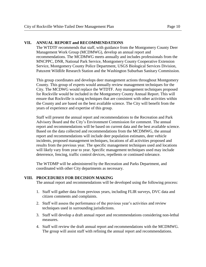#### **VII. ANNUAL REPORT and RECOMMENDATIONS**

The WTDTF recommends that staff, with guidance from the Montgomery County Deer Management Work Group (MCDMWG), develop an annual report and recommendations. The MCDMWG meets annually and includes professionals from the MNCPPC, DNR, National Park Service, Montgomery County Cooperative Extension Service, Montgomery County Police Department, USGS Biological Services Division, Patuxent Wildlife Research Station and the Washington Suburban Sanitary Commission.

This group coordinates and develops deer management actions throughout Montgomery County. This group of experts would annually review management techniques for the City. The MCDWG would replace the WTDTF. Any management techniques proposed for Rockville would be included in the Montgomery County Annual Report. This will ensure that Rockville is using techniques that are consistent with other activities within the County and are based on the best available science. The City will benefit from the years of experience and expertise of this group.

Staff will present the annual report and recommendations to the Recreation and Park Advisory Board and the City's Environment Commission for comment. The annual report and recommendations will be based on current data and the best available science. Based on the data collected and recommendations from the MCDMWG, the annual report and recommendations will include deer population estimates, deer vehicle incidents, proposed management techniques, locations of all activities proposed and results from the previous year. The specific management techniques used and locations will likely vary from year to year. Specific management techniques used may include deterrence, fencing, traffic control devices, repellents or continued tolerance.

The WTDMP will be administered by the Recreation and Parks Department, and coordinated with other City departments as necessary.

#### **VIII. PROCEDURES FOR DECISION MAKING**

The annual report and recommendations will be developed using the following process:

- 1. Staff will gather data from previous years, including FLIR surveys, DVC data and citizen comments and complaints.
- 2. Staff will assess the performance of the previous year's activities and review techniques used in surrounding jurisdictions.
- 3. Staff will develop a draft annual report and recommendations considering non-lethal measures.
- 4. Staff will review the draft annual report and recommendations with the MCDMWG. The group will assist staff with refining the annual report and recommendations.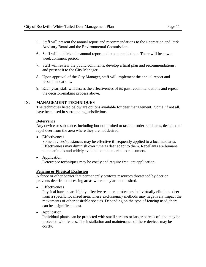- 5. Staff will present the annual report and recommendations to the Recreation and Park Advisory Board and the Environmental Commission.
- 6. Staff will publicize the annual report and recommendations. There will be a twoweek comment period.
- 7. Staff will review the public comments, develop a final plan and recommendations, and present it to the City Manager.
- 8. Upon approval of the City Manager, staff will implement the annual report and recommendations.
- 9. Each year, staff will assess the effectiveness of its past recommendations and repeat the decision-making process above.

#### **IX. MANAGEMENT TECHNIQUES**

The techniques listed below are options available for deer management. Some, if not all, have been used in surrounding jurisdictions.

#### **Deterrence**

Any device or substance, including but not limited to taste or order repellants, designed to repel deer from the area where they are not desired.

• Effectiveness

Some devices/substances may be effective if frequently applied to a localized area. Effectiveness may diminish over time as deer adapt to them. Repellants are humane to the animals and widely available on the market to consumers.

• Application Deterrence techniques may be costly and require frequent application.

#### **Fencing or Physical Exclusion**

A fence or other barrier that permanently protects resources threatened by deer or prevents deer from accessing areas where they are not desired.

**•** Effectiveness

Physical barriers are highly effective resource protectors that virtually eliminate deer from a specific localized area. These exclusionary methods may negatively impact the movements of other desirable species. Depending on the type of fencing used, there can be a significant cost.

• **Application** 

Individual plants can be protected with small screens or larger parcels of land may be protected with fences. The installation and maintenance of these devices may be costly.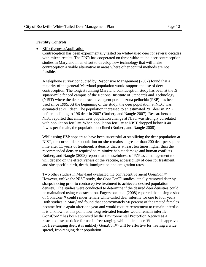#### **Fertility Controls**

#### • Effectiveness/Application

Contraception has been experimentally tested on white-tailed deer for several decades with mixed results. The DNR has cooperated on three white-tailed deer contraception studies in Maryland in an effort to develop new technology that will make contraception a viable alternative in areas where other control methods are not feasible.

A telephone survey conducted by Responsive Management (2007) found that a majority of the general Maryland population would support the use of deer contraception. The longest running Maryland contraception study has been at the .9 square-mile fenced campus of the National Institute of Standards and Technology (NIST) where the deer contraceptive agent porcine zona pellucida (PZP) has been used since 1995. At the beginning of the study, the deer population at NIST was estimated at 211 deer. The population increased to an estimated 291 deer in 1997 before declining to 196 deer in 2007 (Rutberg and Naugle 2007). Researchers at NIST reported that annual deer population change at NIST was strongly correlated with population fertility. When population fertility at NIST dropped below 0.40 fawns per female, the population declined (Rutberg and Naugle 2008).

While using PZP appears to have been successful at stabilizing the deer population at NIST, the current deer population on-site remains at greater than 200 deer per square mile after 11 years of treatment; a density that is at least ten times higher than the recommended density required to minimize habitat damage and human conflicts. Rutberg and Naugle (2008) report that the usefulness of PZP as a management tool will depend on the effectiveness of the vaccine, accessibility of deer for treatment, and site specific birth, death, immigration and emigration rates.

Two other studies in Maryland evaluated the contraceptive agent GonaCon™. However, unlike the NIST study, the GonaCon™ studies lethally removed deer by sharpshooting prior to contraceptive treatment to achieve a desired population density. The studies were conducted to determine if the desired deer densities could be maintained using contraception. Fagerstone et al.(2008) reported that a single shot of GonaCon™ could render female white-tailed deer infertile for one to four years. Both studies in Maryland found that approximately 50 percent of the treated females became fertile again after one year and would require retreatment to remain infertile. It is unknown at this point how long retreated females would remain infertile. GonaCon™ has been approved by the Environmental Protection Agency as a restricted use pesticide for use in free-ranging white-tailed deer. While it is approved for free-ranging deer, it is unlikely GonaCon™ will be effective for treating a wide spread, free-ranging deer population.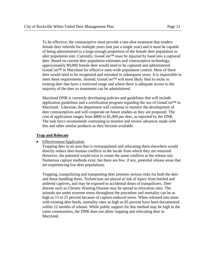To be effective, the contraceptive must provide a one-shot treatment that renders female deer infertile for multiple years (not just a single year) and it must be capable of being administered to a large enough proportion of the female deer population to alter population size. Currently, GonaCon™ must be injected by hand into a captured deer. Based on current deer population estimates and contraceptive technology, approximately 80,000 female deer would need to be captured and administered GonaCon™ in Maryland for effective state-wide population control. Most of these deer would need to be recaptured and retreated in subsequent years. It is impossible to meet these requirements. Instead, GonaCon™ will most likely find its niche in treating deer that have a restricted range and where there is adequate access to the majority of the deer so treatments can be administered.

Maryland DNR is currently developing policies and guidelines that will include application guidelines and a certification program regarding the use of GonaCon™ in Maryland. Likewise, the department will continue to monitor the development of deer contraceptives and will cooperate on future studies as they are proposed. The cost of application ranges from \$800 to \$1,000 per deer, as reported by the DNR. The task force recommends continuing to monitor and review advances made with this and other similar products as they become available.

#### **Trap and Relocate**

#### $\bullet$ Effectiveness/Application

Trapping deer in an area that is overpopulated and relocating them elsewhere would directly reduce deer-human conflicts in the locale from which they are removed. However, the potential would exist to create the same conflicts at the release site. Numerous capture methods exist, but there are few, if any, potential release areas that are experiencing low deer populations.

Trapping, tranquilizing and transporting deer presents serious risks for both the deer and those handling them. Technicians are placed at risk of injury from hoofed and antlered captives, and may be exposed to accidental doses of tranquilizers. Deer disease such as Chronic Wasting Disease may be spread to relocation sites. The animals are under extreme stress throughout the procedure and mortality can be as high as 15 to 25 percent because of capture-induced stress. When released into areas with existing deer herds, mortality rates as high as 85 percent have been documented within 12 months of release. While public support for this method may be high in the some communities, the DNR does not allow trapping and relocating deer in Maryland.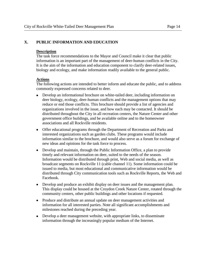#### **Description**

The task force recommendations to the Mayor and Council make it clear that public information is an important part of the management of deer-human conflicts in the City. It is the aim of the information and education component to clarify deer-related issues, biology and ecology, and make information readily available to the general public.

#### **Actions**

The following actions are intended to better inform and educate the public, and to address commonly expressed concerns related to deer.

- Develop an informational brochure on white-tailed deer, including information on  $\bullet$ deer biology, ecology, deer-human conflicts and the management options that may reduce or end those conflicts. This brochure should provide a list of agencies and organizations involved in the issue, and how each may be contacted. It should be distributed throughout the City in all recreation centers, the Nature Center and other government office buildings, and be available online and to the homeowner associations and all Rockville residents.
- Offer educational programs through the Department of Recreation and Parks and interested organizations such as garden clubs. These programs would include information similar to the brochure, and would also serve as a forum for exchange of new ideas and opinions for the task force to process.
- Develop and maintain, through the Public Information Office, a plan to provide timely and relevant information on deer, suited to the needs of the season. Information would be distributed through print, Web and social media, as well as broadcast segments on Rockville 11 (cable channel 11). Some information could be issued to media, but most educational and communicative information would be distributed through City communication tools such as Rockville Reports, the Web and Facebook.
- Develop and produce an exhibit display on deer issues and the management plan. This display could be housed at the Croydon Creek Nature Center, rotated through the community centers, other public buildings and other locations if requested.
- Produce and distribute an annual update on deer management activities and information for all interested parties. Note all significant accomplishments and milestones reached during the preceding year.
- Develop a deer management website, with appropriate links, to disseminate information through the increasingly popular medium of the Internet.